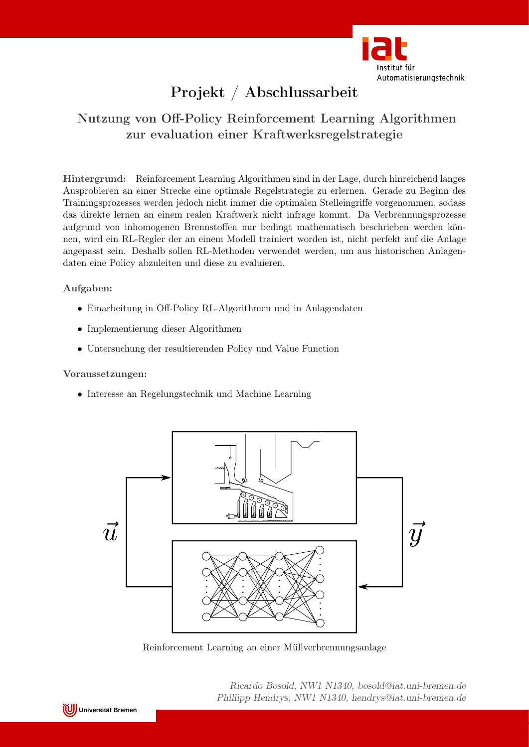

# Projekt / Abschlussarbeit

## Nutzung von Off-Policy Reinforcement Learning Algorithmen zur evaluation einer Kraftwerksregelstrategie

Hintergrund: Reinforcement Learning Algorithmen sind in der Lage, durch hinreichend langes Ausprobieren an einer Strecke eine optimale Regelstrategie zu erlernen. Gerade zu Beginn des Trainingsprozesses werden jedoch nicht immer die optimalen Stelleingriffe vorgenommen, sodass das direkte lernen an einem realen Kraftwerk nicht infrage kommt. Da Verbrennungsprozesse aufgrund von inhomogenen Brennstoffen nur bedingt mathematisch beschrieben werden können, wird ein RL-Regler der an einem Modell trainiert worden ist, nicht perfekt auf die Anlage angepasst sein. Deshalb sollen RL-Methoden verwendet werden, um aus historischen Anlagendaten eine Policy abzuleiten und diese zu evaluieren.

### Aufgaben:

- Einarbeitung in Off-Policy RL-Algorithmen und in Anlagendaten
- Implementierung dieser Algorithmen
- Untersuchung der resultierenden Policy und Value Function

#### Voraussetzungen:

• Interesse an Regelungstechnik und Machine Learning



Reinforcement Learning an einer Müllverbrennungsanlage

Ricardo Bosold, NW1 N1340, bosold@iat.uni-bremen.de Phillipp Hendrys, NW1 N1340, hendrys@iat.uni-bremen.de